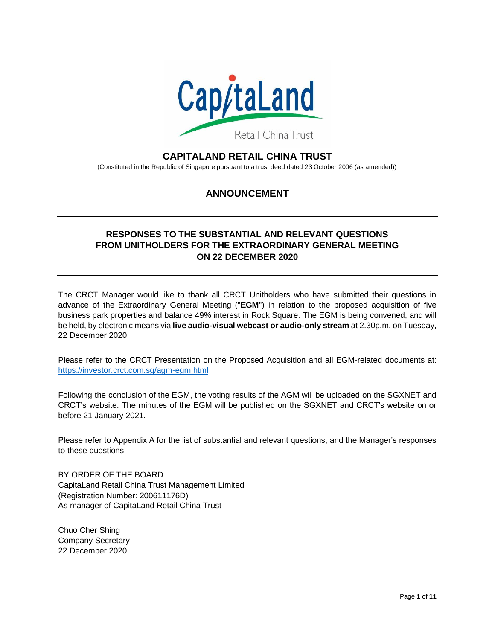

# **CAPITALAND RETAIL CHINA TRUST**

(Constituted in the Republic of Singapore pursuant to a trust deed dated 23 October 2006 (as amended))

# **ANNOUNCEMENT**

## **RESPONSES TO THE SUBSTANTIAL AND RELEVANT QUESTIONS FROM UNITHOLDERS FOR THE EXTRAORDINARY GENERAL MEETING ON 22 DECEMBER 2020**

The CRCT Manager would like to thank all CRCT Unitholders who have submitted their questions in advance of the Extraordinary General Meeting ("**EGM**") in relation to the proposed acquisition of five business park properties and balance 49% interest in Rock Square. The EGM is being convened, and will be held, by electronic means via **live audio-visual webcast or audio-only stream** at 2.30p.m. on Tuesday, 22 December 2020.

Please refer to the CRCT Presentation on the Proposed Acquisition and all EGM-related documents at: <https://investor.crct.com.sg/agm-egm.html>

Following the conclusion of the EGM, the voting results of the AGM will be uploaded on the SGXNET and CRCT's website. The minutes of the EGM will be published on the SGXNET and CRCT's website on or before 21 January 2021.

Please refer to Appendix A for the list of substantial and relevant questions, and the Manager's responses to these questions.

BY ORDER OF THE BOARD CapitaLand Retail China Trust Management Limited (Registration Number: 200611176D) As manager of CapitaLand Retail China Trust

Chuo Cher Shing Company Secretary 22 December 2020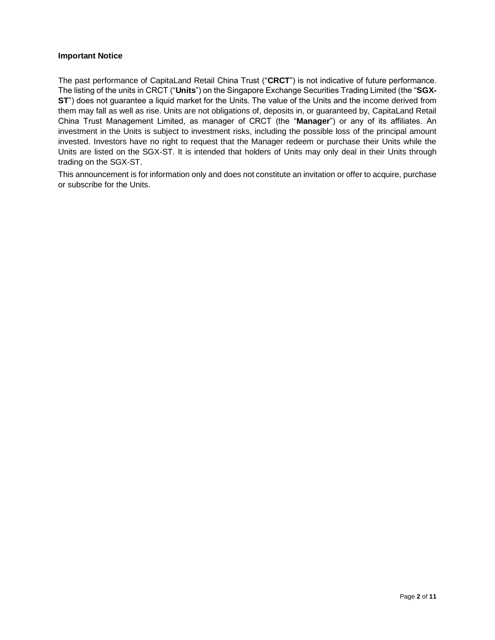### **Important Notice**

The past performance of CapitaLand Retail China Trust ("**CRCT**") is not indicative of future performance. The listing of the units in CRCT ("**Units**") on the Singapore Exchange Securities Trading Limited (the "**SGX-ST**") does not guarantee a liquid market for the Units. The value of the Units and the income derived from them may fall as well as rise. Units are not obligations of, deposits in, or guaranteed by, CapitaLand Retail China Trust Management Limited, as manager of CRCT (the "**Manager**") or any of its affiliates. An investment in the Units is subject to investment risks, including the possible loss of the principal amount invested. Investors have no right to request that the Manager redeem or purchase their Units while the Units are listed on the SGX-ST. It is intended that holders of Units may only deal in their Units through trading on the SGX-ST.

This announcement is for information only and does not constitute an invitation or offer to acquire, purchase or subscribe for the Units.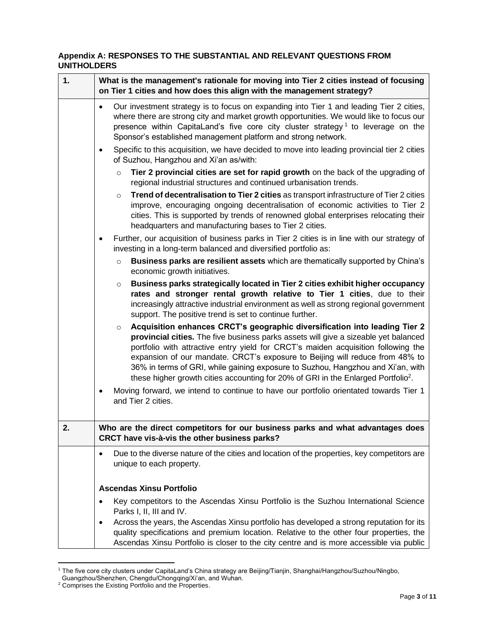### **Appendix A: RESPONSES TO THE SUBSTANTIAL AND RELEVANT QUESTIONS FROM UNITHOLDERS**

| 1. | What is the management's rationale for moving into Tier 2 cities instead of focusing<br>on Tier 1 cities and how does this align with the management strategy?                                                                                                                                                                                                                                                                                                                                                                        |
|----|---------------------------------------------------------------------------------------------------------------------------------------------------------------------------------------------------------------------------------------------------------------------------------------------------------------------------------------------------------------------------------------------------------------------------------------------------------------------------------------------------------------------------------------|
|    | Our investment strategy is to focus on expanding into Tier 1 and leading Tier 2 cities,<br>$\bullet$<br>where there are strong city and market growth opportunities. We would like to focus our<br>presence within CapitaLand's five core city cluster strategy <sup>1</sup> to leverage on the<br>Sponsor's established management platform and strong network.                                                                                                                                                                      |
|    | Specific to this acquisition, we have decided to move into leading provincial tier 2 cities<br>$\bullet$<br>of Suzhou, Hangzhou and Xi'an as/with:                                                                                                                                                                                                                                                                                                                                                                                    |
|    | Tier 2 provincial cities are set for rapid growth on the back of the upgrading of<br>$\circ$<br>regional industrial structures and continued urbanisation trends.                                                                                                                                                                                                                                                                                                                                                                     |
|    | Trend of decentralisation to Tier 2 cities as transport infrastructure of Tier 2 cities<br>$\circ$<br>improve, encouraging ongoing decentralisation of economic activities to Tier 2<br>cities. This is supported by trends of renowned global enterprises relocating their<br>headquarters and manufacturing bases to Tier 2 cities.                                                                                                                                                                                                 |
|    | Further, our acquisition of business parks in Tier 2 cities is in line with our strategy of<br>$\bullet$<br>investing in a long-term balanced and diversified portfolio as:                                                                                                                                                                                                                                                                                                                                                           |
|    | Business parks are resilient assets which are thematically supported by China's<br>$\circ$<br>economic growth initiatives.                                                                                                                                                                                                                                                                                                                                                                                                            |
|    | Business parks strategically located in Tier 2 cities exhibit higher occupancy<br>$\circ$<br>rates and stronger rental growth relative to Tier 1 cities, due to their<br>increasingly attractive industrial environment as well as strong regional government<br>support. The positive trend is set to continue further.                                                                                                                                                                                                              |
|    | Acquisition enhances CRCT's geographic diversification into leading Tier 2<br>$\circ$<br>provincial cities. The five business parks assets will give a sizeable yet balanced<br>portfolio with attractive entry yield for CRCT's maiden acquisition following the<br>expansion of our mandate. CRCT's exposure to Beijing will reduce from 48% to<br>36% in terms of GRI, while gaining exposure to Suzhou, Hangzhou and Xi'an, with<br>these higher growth cities accounting for 20% of GRI in the Enlarged Portfolio <sup>2</sup> . |
|    | Moving forward, we intend to continue to have our portfolio orientated towards Tier 1<br>$\bullet$<br>and Tier 2 cities.                                                                                                                                                                                                                                                                                                                                                                                                              |
| 2. | Who are the direct competitors for our business parks and what advantages does<br>CRCT have vis-à-vis the other business parks?                                                                                                                                                                                                                                                                                                                                                                                                       |
|    | Due to the diverse nature of the cities and location of the properties, key competitors are<br>$\bullet$<br>unique to each property.                                                                                                                                                                                                                                                                                                                                                                                                  |
|    | <b>Ascendas Xinsu Portfolio</b>                                                                                                                                                                                                                                                                                                                                                                                                                                                                                                       |
|    | Key competitors to the Ascendas Xinsu Portfolio is the Suzhou International Science<br>$\bullet$<br>Parks I, II, III and IV.                                                                                                                                                                                                                                                                                                                                                                                                          |
|    | Across the years, the Ascendas Xinsu portfolio has developed a strong reputation for its<br>٠<br>quality specifications and premium location. Relative to the other four properties, the<br>Ascendas Xinsu Portfolio is closer to the city centre and is more accessible via public                                                                                                                                                                                                                                                   |

<sup>1</sup> The five core city clusters under CapitaLand's China strategy are Beijing/Tianjin, Shanghai/Hangzhou/Suzhou/Ningbo,

Guangzhou/Shenzhen, Chengdu/Chongqing/Xi'an, and Wuhan.

<sup>&</sup>lt;sup>2</sup> Comprises the Existing Portfolio and the Properties.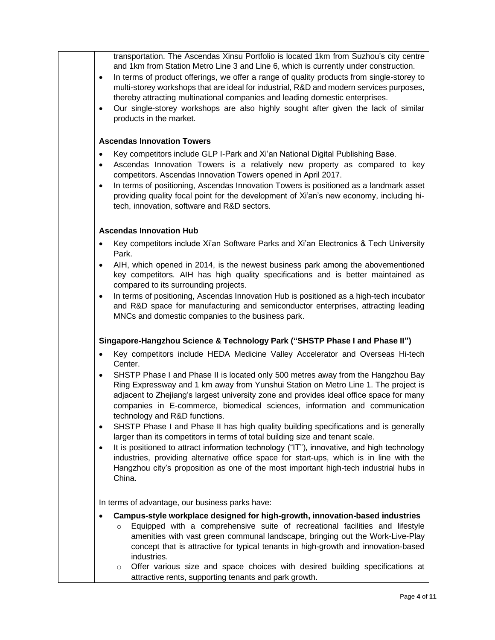transportation. The Ascendas Xinsu Portfolio is located 1km from Suzhou's city centre and 1km from Station Metro Line 3 and Line 6, which is currently under construction.

- In terms of product offerings, we offer a range of quality products from single-storey to multi-storey workshops that are ideal for industrial, R&D and modern services purposes, thereby attracting multinational companies and leading domestic enterprises.
- Our single-storey workshops are also highly sought after given the lack of similar products in the market.

#### **Ascendas Innovation Towers**

- Key competitors include GLP I-Park and Xi'an National Digital Publishing Base.
- Ascendas Innovation Towers is a relatively new property as compared to key competitors. Ascendas Innovation Towers opened in April 2017.
- In terms of positioning, Ascendas Innovation Towers is positioned as a landmark asset providing quality focal point for the development of Xi'an's new economy, including hitech, innovation, software and R&D sectors.

#### **Ascendas Innovation Hub**

- Key competitors include Xi'an Software Parks and Xi'an Electronics & Tech University Park.
- AIH, which opened in 2014, is the newest business park among the abovementioned key competitors. AIH has high quality specifications and is better maintained as compared to its surrounding projects.
- In terms of positioning, Ascendas Innovation Hub is positioned as a high-tech incubator and R&D space for manufacturing and semiconductor enterprises, attracting leading MNCs and domestic companies to the business park.

### **Singapore-Hangzhou Science & Technology Park ("SHSTP Phase I and Phase II")**

- Key competitors include HEDA Medicine Valley Accelerator and Overseas Hi-tech Center.
- SHSTP Phase I and Phase II is located only 500 metres away from the Hangzhou Bay Ring Expressway and 1 km away from Yunshui Station on Metro Line 1. The project is adjacent to Zhejiang's largest university zone and provides ideal office space for many companies in E-commerce, biomedical sciences, information and communication technology and R&D functions.
- SHSTP Phase I and Phase II has high quality building specifications and is generally larger than its competitors in terms of total building size and tenant scale.
- It is positioned to attract information technology ("IT"), innovative, and high technology industries, providing alternative office space for start-ups, which is in line with the Hangzhou city's proposition as one of the most important high-tech industrial hubs in China.

In terms of advantage, our business parks have:

- **Campus-style workplace designed for high-growth, innovation-based industries**
	- $\circ$  Equipped with a comprehensive suite of recreational facilities and lifestyle amenities with vast green communal landscape, bringing out the Work-Live-Play concept that is attractive for typical tenants in high-growth and innovation-based industries.
	- $\circ$  Offer various size and space choices with desired building specifications at attractive rents, supporting tenants and park growth.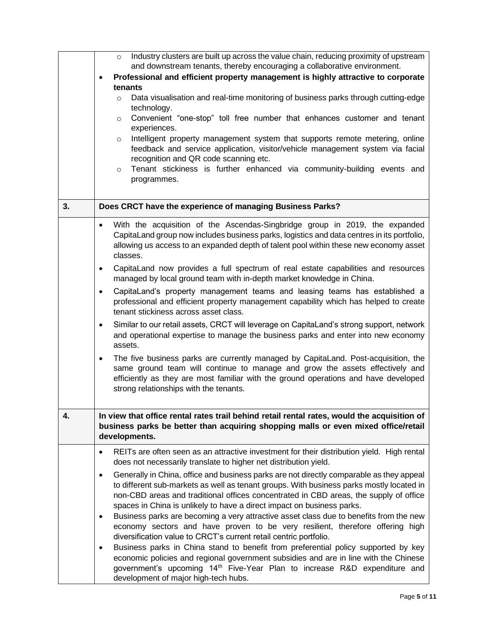|    | Industry clusters are built up across the value chain, reducing proximity of upstream<br>$\circ$<br>and downstream tenants, thereby encouraging a collaborative environment.<br>Professional and efficient property management is highly attractive to corporate<br>$\bullet$<br>tenants<br>Data visualisation and real-time monitoring of business parks through cutting-edge<br>$\circ$<br>technology.<br>Convenient "one-stop" toll free number that enhances customer and tenant<br>$\circ$<br>experiences.<br>Intelligent property management system that supports remote metering, online<br>$\circ$<br>feedback and service application, visitor/vehicle management system via facial<br>recognition and QR code scanning etc.<br>Tenant stickiness is further enhanced via community-building events and<br>$\circ$<br>programmes.                                                                                                                                                                                                                                                                                                                                                                                      |
|----|---------------------------------------------------------------------------------------------------------------------------------------------------------------------------------------------------------------------------------------------------------------------------------------------------------------------------------------------------------------------------------------------------------------------------------------------------------------------------------------------------------------------------------------------------------------------------------------------------------------------------------------------------------------------------------------------------------------------------------------------------------------------------------------------------------------------------------------------------------------------------------------------------------------------------------------------------------------------------------------------------------------------------------------------------------------------------------------------------------------------------------------------------------------------------------------------------------------------------------|
| 3. | Does CRCT have the experience of managing Business Parks?                                                                                                                                                                                                                                                                                                                                                                                                                                                                                                                                                                                                                                                                                                                                                                                                                                                                                                                                                                                                                                                                                                                                                                       |
|    | With the acquisition of the Ascendas-Singbridge group in 2019, the expanded<br>$\bullet$<br>CapitaLand group now includes business parks, logistics and data centres in its portfolio,<br>allowing us access to an expanded depth of talent pool within these new economy asset<br>classes.<br>CapitaLand now provides a full spectrum of real estate capabilities and resources<br>$\bullet$<br>managed by local ground team with in-depth market knowledge in China.<br>CapitaLand's property management teams and leasing teams has established a<br>$\bullet$<br>professional and efficient property management capability which has helped to create<br>tenant stickiness across asset class.<br>Similar to our retail assets, CRCT will leverage on CapitaLand's strong support, network<br>$\bullet$<br>and operational expertise to manage the business parks and enter into new economy<br>assets.<br>The five business parks are currently managed by CapitaLand. Post-acquisition, the<br>$\bullet$<br>same ground team will continue to manage and grow the assets effectively and<br>efficiently as they are most familiar with the ground operations and have developed<br>strong relationships with the tenants. |
| 4. | In view that office rental rates trail behind retail rental rates, would the acquisition of<br>business parks be better than acquiring shopping malls or even mixed office/retail<br>developments.                                                                                                                                                                                                                                                                                                                                                                                                                                                                                                                                                                                                                                                                                                                                                                                                                                                                                                                                                                                                                              |
|    | REITs are often seen as an attractive investment for their distribution yield. High rental<br>$\bullet$<br>does not necessarily translate to higher net distribution yield.                                                                                                                                                                                                                                                                                                                                                                                                                                                                                                                                                                                                                                                                                                                                                                                                                                                                                                                                                                                                                                                     |
|    | Generally in China, office and business parks are not directly comparable as they appeal<br>$\bullet$<br>to different sub-markets as well as tenant groups. With business parks mostly located in<br>non-CBD areas and traditional offices concentrated in CBD areas, the supply of office<br>spaces in China is unlikely to have a direct impact on business parks.<br>Business parks are becoming a very attractive asset class due to benefits from the new<br>٠<br>economy sectors and have proven to be very resilient, therefore offering high<br>diversification value to CRCT's current retail centric portfolio.<br>Business parks in China stand to benefit from preferential policy supported by key<br>$\bullet$<br>economic policies and regional government subsidies and are in line with the Chinese<br>government's upcoming 14 <sup>th</sup> Five-Year Plan to increase R&D expenditure and<br>development of major high-tech hubs.                                                                                                                                                                                                                                                                           |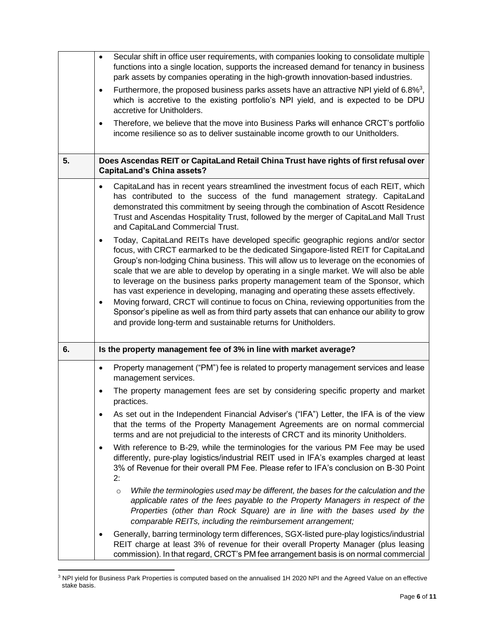|    | Secular shift in office user requirements, with companies looking to consolidate multiple<br>$\bullet$<br>functions into a single location, supports the increased demand for tenancy in business<br>park assets by companies operating in the high-growth innovation-based industries.<br>Furthermore, the proposed business parks assets have an attractive NPI yield of 6.8% <sup>3</sup> ,<br>$\bullet$<br>which is accretive to the existing portfolio's NPI yield, and is expected to be DPU<br>accretive for Unitholders.<br>Therefore, we believe that the move into Business Parks will enhance CRCT's portfolio<br>$\bullet$<br>income resilience so as to deliver sustainable income growth to our Unitholders.                                                                                     |
|----|----------------------------------------------------------------------------------------------------------------------------------------------------------------------------------------------------------------------------------------------------------------------------------------------------------------------------------------------------------------------------------------------------------------------------------------------------------------------------------------------------------------------------------------------------------------------------------------------------------------------------------------------------------------------------------------------------------------------------------------------------------------------------------------------------------------|
| 5. | Does Ascendas REIT or CapitaLand Retail China Trust have rights of first refusal over<br><b>CapitaLand's China assets?</b>                                                                                                                                                                                                                                                                                                                                                                                                                                                                                                                                                                                                                                                                                     |
|    | CapitaLand has in recent years streamlined the investment focus of each REIT, which<br>$\bullet$<br>has contributed to the success of the fund management strategy. CapitaLand<br>demonstrated this commitment by seeing through the combination of Ascott Residence<br>Trust and Ascendas Hospitality Trust, followed by the merger of CapitaLand Mall Trust<br>and CapitaLand Commercial Trust.                                                                                                                                                                                                                                                                                                                                                                                                              |
|    | Today, CapitaLand REITs have developed specific geographic regions and/or sector<br>$\bullet$<br>focus, with CRCT earmarked to be the dedicated Singapore-listed REIT for CapitaLand<br>Group's non-lodging China business. This will allow us to leverage on the economies of<br>scale that we are able to develop by operating in a single market. We will also be able<br>to leverage on the business parks property management team of the Sponsor, which<br>has vast experience in developing, managing and operating these assets effectively.<br>Moving forward, CRCT will continue to focus on China, reviewing opportunities from the<br>Sponsor's pipeline as well as from third party assets that can enhance our ability to grow<br>and provide long-term and sustainable returns for Unitholders. |
| 6. | Is the property management fee of 3% in line with market average?                                                                                                                                                                                                                                                                                                                                                                                                                                                                                                                                                                                                                                                                                                                                              |
|    | Property management ("PM") fee is related to property management services and lease<br>$\bullet$<br>management services.                                                                                                                                                                                                                                                                                                                                                                                                                                                                                                                                                                                                                                                                                       |
|    | The property management fees are set by considering specific property and market<br>$\bullet$<br>practices.                                                                                                                                                                                                                                                                                                                                                                                                                                                                                                                                                                                                                                                                                                    |
|    | As set out in the Independent Financial Adviser's ("IFA") Letter, the IFA is of the view<br>that the terms of the Property Management Agreements are on normal commercial<br>terms and are not prejudicial to the interests of CRCT and its minority Unitholders.                                                                                                                                                                                                                                                                                                                                                                                                                                                                                                                                              |
|    | With reference to B-29, while the terminologies for the various PM Fee may be used<br>٠<br>differently, pure-play logistics/industrial REIT used in IFA's examples charged at least<br>3% of Revenue for their overall PM Fee. Please refer to IFA's conclusion on B-30 Point<br>2:                                                                                                                                                                                                                                                                                                                                                                                                                                                                                                                            |
|    | While the terminologies used may be different, the bases for the calculation and the<br>$\circ$<br>applicable rates of the fees payable to the Property Managers in respect of the<br>Properties (other than Rock Square) are in line with the bases used by the<br>comparable REITs, including the reimbursement arrangement;                                                                                                                                                                                                                                                                                                                                                                                                                                                                                 |
|    | Generally, barring terminology term differences, SGX-listed pure-play logistics/industrial<br>$\bullet$<br>REIT charge at least 3% of revenue for their overall Property Manager (plus leasing<br>commission). In that regard, CRCT's PM fee arrangement basis is on normal commercial                                                                                                                                                                                                                                                                                                                                                                                                                                                                                                                         |

<sup>&</sup>lt;sup>3</sup> NPI yield for Business Park Properties is computed based on the annualised 1H 2020 NPI and the Agreed Value on an effective stake basis.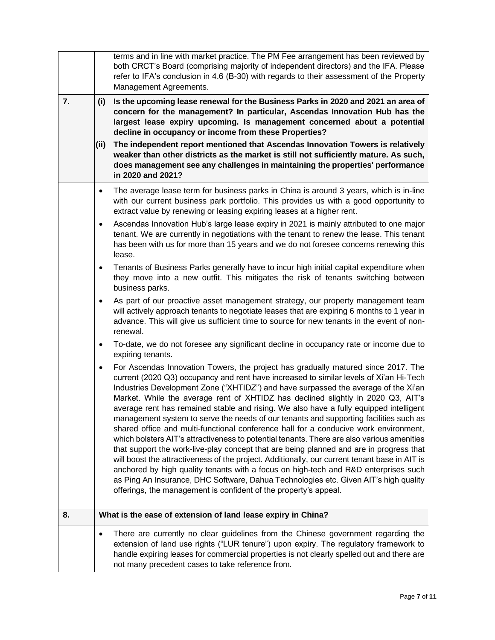|    |           | terms and in line with market practice. The PM Fee arrangement has been reviewed by<br>both CRCT's Board (comprising majority of independent directors) and the IFA. Please<br>refer to IFA's conclusion in 4.6 (B-30) with regards to their assessment of the Property<br>Management Agreements.                                                                                                                                                                                                                                                                                                                                                                                                                                                                                                                                                                                                                                                                                                                                                                                                                                                                             |
|----|-----------|-------------------------------------------------------------------------------------------------------------------------------------------------------------------------------------------------------------------------------------------------------------------------------------------------------------------------------------------------------------------------------------------------------------------------------------------------------------------------------------------------------------------------------------------------------------------------------------------------------------------------------------------------------------------------------------------------------------------------------------------------------------------------------------------------------------------------------------------------------------------------------------------------------------------------------------------------------------------------------------------------------------------------------------------------------------------------------------------------------------------------------------------------------------------------------|
| 7. | (i)       | Is the upcoming lease renewal for the Business Parks in 2020 and 2021 an area of<br>concern for the management? In particular, Ascendas Innovation Hub has the<br>largest lease expiry upcoming. Is management concerned about a potential<br>decline in occupancy or income from these Properties?                                                                                                                                                                                                                                                                                                                                                                                                                                                                                                                                                                                                                                                                                                                                                                                                                                                                           |
|    | (ii)      | The independent report mentioned that Ascendas Innovation Towers is relatively<br>weaker than other districts as the market is still not sufficiently mature. As such,<br>does management see any challenges in maintaining the properties' performance<br>in 2020 and 2021?                                                                                                                                                                                                                                                                                                                                                                                                                                                                                                                                                                                                                                                                                                                                                                                                                                                                                                  |
|    | $\bullet$ | The average lease term for business parks in China is around 3 years, which is in-line<br>with our current business park portfolio. This provides us with a good opportunity to<br>extract value by renewing or leasing expiring leases at a higher rent.                                                                                                                                                                                                                                                                                                                                                                                                                                                                                                                                                                                                                                                                                                                                                                                                                                                                                                                     |
|    | $\bullet$ | Ascendas Innovation Hub's large lease expiry in 2021 is mainly attributed to one major<br>tenant. We are currently in negotiations with the tenant to renew the lease. This tenant<br>has been with us for more than 15 years and we do not foresee concerns renewing this<br>lease.                                                                                                                                                                                                                                                                                                                                                                                                                                                                                                                                                                                                                                                                                                                                                                                                                                                                                          |
|    | $\bullet$ | Tenants of Business Parks generally have to incur high initial capital expenditure when<br>they move into a new outfit. This mitigates the risk of tenants switching between<br>business parks.                                                                                                                                                                                                                                                                                                                                                                                                                                                                                                                                                                                                                                                                                                                                                                                                                                                                                                                                                                               |
|    | $\bullet$ | As part of our proactive asset management strategy, our property management team<br>will actively approach tenants to negotiate leases that are expiring 6 months to 1 year in<br>advance. This will give us sufficient time to source for new tenants in the event of non-<br>renewal.                                                                                                                                                                                                                                                                                                                                                                                                                                                                                                                                                                                                                                                                                                                                                                                                                                                                                       |
|    | $\bullet$ | To-date, we do not foresee any significant decline in occupancy rate or income due to<br>expiring tenants.                                                                                                                                                                                                                                                                                                                                                                                                                                                                                                                                                                                                                                                                                                                                                                                                                                                                                                                                                                                                                                                                    |
|    | $\bullet$ | For Ascendas Innovation Towers, the project has gradually matured since 2017. The<br>current (2020 Q3) occupancy and rent have increased to similar levels of Xi'an Hi-Tech<br>Industries Development Zone ("XHTIDZ") and have surpassed the average of the Xi'an<br>Market. While the average rent of XHTIDZ has declined slightly in 2020 Q3, AIT's<br>average rent has remained stable and rising. We also have a fully equipped intelligent<br>management system to serve the needs of our tenants and supporting facilities such as<br>shared office and multi-functional conference hall for a conducive work environment,<br>which bolsters AIT's attractiveness to potential tenants. There are also various amenities<br>that support the work-live-play concept that are being planned and are in progress that<br>will boost the attractiveness of the project. Additionally, our current tenant base in AIT is<br>anchored by high quality tenants with a focus on high-tech and R&D enterprises such<br>as Ping An Insurance, DHC Software, Dahua Technologies etc. Given AIT's high quality<br>offerings, the management is confident of the property's appeal. |
| 8. |           | What is the ease of extension of land lease expiry in China?                                                                                                                                                                                                                                                                                                                                                                                                                                                                                                                                                                                                                                                                                                                                                                                                                                                                                                                                                                                                                                                                                                                  |
|    | $\bullet$ | There are currently no clear guidelines from the Chinese government regarding the<br>extension of land use rights ("LUR tenure") upon expiry. The regulatory framework to<br>handle expiring leases for commercial properties is not clearly spelled out and there are<br>not many precedent cases to take reference from.                                                                                                                                                                                                                                                                                                                                                                                                                                                                                                                                                                                                                                                                                                                                                                                                                                                    |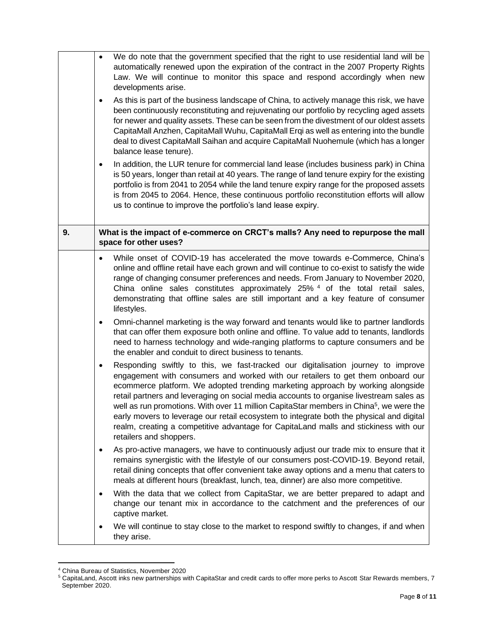|    | We do note that the government specified that the right to use residential land will be<br>$\bullet$<br>automatically renewed upon the expiration of the contract in the 2007 Property Rights<br>Law. We will continue to monitor this space and respond accordingly when new<br>developments arise.<br>As this is part of the business landscape of China, to actively manage this risk, we have<br>$\bullet$<br>been continuously reconstituting and rejuvenating our portfolio by recycling aged assets<br>for newer and quality assets. These can be seen from the divestment of our oldest assets<br>CapitaMall Anzhen, CapitaMall Wuhu, CapitaMall Erqi as well as entering into the bundle<br>deal to divest CapitaMall Saihan and acquire CapitaMall Nuohemule (which has a longer<br>balance lease tenure).<br>In addition, the LUR tenure for commercial land lease (includes business park) in China<br>$\bullet$<br>is 50 years, longer than retail at 40 years. The range of land tenure expiry for the existing<br>portfolio is from 2041 to 2054 while the land tenure expiry range for the proposed assets<br>is from 2045 to 2064. Hence, these continuous portfolio reconstitution efforts will allow<br>us to continue to improve the portfolio's land lease expiry. |
|----|-----------------------------------------------------------------------------------------------------------------------------------------------------------------------------------------------------------------------------------------------------------------------------------------------------------------------------------------------------------------------------------------------------------------------------------------------------------------------------------------------------------------------------------------------------------------------------------------------------------------------------------------------------------------------------------------------------------------------------------------------------------------------------------------------------------------------------------------------------------------------------------------------------------------------------------------------------------------------------------------------------------------------------------------------------------------------------------------------------------------------------------------------------------------------------------------------------------------------------------------------------------------------------------------|
| 9. | What is the impact of e-commerce on CRCT's malls? Any need to repurpose the mall<br>space for other uses?                                                                                                                                                                                                                                                                                                                                                                                                                                                                                                                                                                                                                                                                                                                                                                                                                                                                                                                                                                                                                                                                                                                                                                               |
|    | While onset of COVID-19 has accelerated the move towards e-Commerce, China's<br>$\bullet$<br>online and offline retail have each grown and will continue to co-exist to satisfy the wide<br>range of changing consumer preferences and needs. From January to November 2020,<br>China online sales constitutes approximately 25% 4 of the total retail sales,<br>demonstrating that offline sales are still important and a key feature of consumer<br>lifestyles.                                                                                                                                                                                                                                                                                                                                                                                                                                                                                                                                                                                                                                                                                                                                                                                                                      |
|    | Omni-channel marketing is the way forward and tenants would like to partner landlords<br>$\bullet$<br>that can offer them exposure both online and offline. To value add to tenants, landlords<br>need to harness technology and wide-ranging platforms to capture consumers and be<br>the enabler and conduit to direct business to tenants.                                                                                                                                                                                                                                                                                                                                                                                                                                                                                                                                                                                                                                                                                                                                                                                                                                                                                                                                           |
|    | Responding swiftly to this, we fast-tracked our digitalisation journey to improve<br>$\bullet$<br>engagement with consumers and worked with our retailers to get them onboard our<br>ecommerce platform. We adopted trending marketing approach by working alongside<br>retail partners and leveraging on social media accounts to organise livestream sales as<br>well as run promotions. With over 11 million CapitaStar members in China <sup>5</sup> , we were the<br>early movers to leverage our retail ecosystem to integrate both the physical and digital<br>realm, creating a competitive advantage for CapitaLand malls and stickiness with our<br>retailers and shoppers.                                                                                                                                                                                                                                                                                                                                                                                                                                                                                                                                                                                                   |
|    | As pro-active managers, we have to continuously adjust our trade mix to ensure that it<br>$\bullet$<br>remains synergistic with the lifestyle of our consumers post-COVID-19. Beyond retail,<br>retail dining concepts that offer convenient take away options and a menu that caters to<br>meals at different hours (breakfast, lunch, tea, dinner) are also more competitive.                                                                                                                                                                                                                                                                                                                                                                                                                                                                                                                                                                                                                                                                                                                                                                                                                                                                                                         |
|    | With the data that we collect from CapitaStar, we are better prepared to adapt and<br>$\bullet$<br>change our tenant mix in accordance to the catchment and the preferences of our<br>captive market.                                                                                                                                                                                                                                                                                                                                                                                                                                                                                                                                                                                                                                                                                                                                                                                                                                                                                                                                                                                                                                                                                   |
|    | We will continue to stay close to the market to respond swiftly to changes, if and when<br>they arise.                                                                                                                                                                                                                                                                                                                                                                                                                                                                                                                                                                                                                                                                                                                                                                                                                                                                                                                                                                                                                                                                                                                                                                                  |

<sup>4</sup> China Bureau of Statistics, November 2020

 $^5$  CapitaLand, Ascott inks new partnerships with CapitaStar and credit cards to offer more perks to Ascott Star Rewards members, 7 September 2020.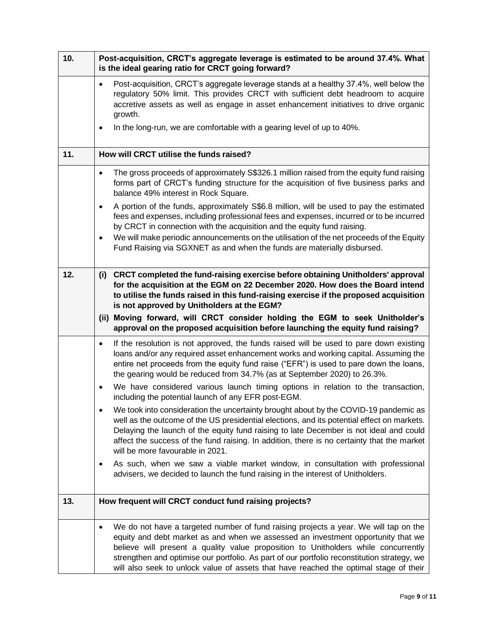| 10. | Post-acquisition, CRCT's aggregate leverage is estimated to be around 37.4%. What<br>is the ideal gearing ratio for CRCT going forward?                                                                                                                                                                                                                                                                                                                                       |
|-----|-------------------------------------------------------------------------------------------------------------------------------------------------------------------------------------------------------------------------------------------------------------------------------------------------------------------------------------------------------------------------------------------------------------------------------------------------------------------------------|
|     | Post-acquisition, CRCT's aggregate leverage stands at a healthy 37.4%, well below the<br>$\bullet$<br>regulatory 50% limit. This provides CRCT with sufficient debt headroom to acquire<br>accretive assets as well as engage in asset enhancement initiatives to drive organic<br>growth.                                                                                                                                                                                    |
|     | In the long-run, we are comfortable with a gearing level of up to 40%.<br>$\bullet$                                                                                                                                                                                                                                                                                                                                                                                           |
| 11. | How will CRCT utilise the funds raised?                                                                                                                                                                                                                                                                                                                                                                                                                                       |
|     | The gross proceeds of approximately S\$326.1 million raised from the equity fund raising<br>$\bullet$<br>forms part of CRCT's funding structure for the acquisition of five business parks and<br>balance 49% interest in Rock Square.                                                                                                                                                                                                                                        |
|     | A portion of the funds, approximately S\$6.8 million, will be used to pay the estimated<br>$\bullet$<br>fees and expenses, including professional fees and expenses, incurred or to be incurred<br>by CRCT in connection with the acquisition and the equity fund raising.                                                                                                                                                                                                    |
|     | We will make periodic announcements on the utilisation of the net proceeds of the Equity<br>$\bullet$<br>Fund Raising via SGXNET as and when the funds are materially disbursed.                                                                                                                                                                                                                                                                                              |
| 12. | (i) CRCT completed the fund-raising exercise before obtaining Unitholders' approval<br>for the acquisition at the EGM on 22 December 2020. How does the Board intend<br>to utilise the funds raised in this fund-raising exercise if the proposed acquisition<br>is not approved by Unitholders at the EGM?<br>(ii) Moving forward, will CRCT consider holding the EGM to seek Unitholder's<br>approval on the proposed acquisition before launching the equity fund raising? |
|     | If the resolution is not approved, the funds raised will be used to pare down existing<br>$\bullet$<br>loans and/or any required asset enhancement works and working capital. Assuming the<br>entire net proceeds from the equity fund raise ("EFR") is used to pare down the loans,<br>the gearing would be reduced from 34.7% (as at September 2020) to 26.3%.                                                                                                              |
|     | We have considered various launch timing options in relation to the transaction,<br>$\bullet$<br>including the potential launch of any EFR post-EGM.                                                                                                                                                                                                                                                                                                                          |
|     | We took into consideration the uncertainty brought about by the COVID-19 pandemic as<br>well as the outcome of the US presidential elections, and its potential effect on markets.<br>Delaying the launch of the equity fund raising to late December is not ideal and could<br>affect the success of the fund raising. In addition, there is no certainty that the market<br>will be more favourable in 2021.                                                                |
|     | As such, when we saw a viable market window, in consultation with professional<br>$\bullet$<br>advisers, we decided to launch the fund raising in the interest of Unitholders.                                                                                                                                                                                                                                                                                                |
| 13. | How frequent will CRCT conduct fund raising projects?                                                                                                                                                                                                                                                                                                                                                                                                                         |
|     | We do not have a targeted number of fund raising projects a year. We will tap on the<br>$\bullet$<br>equity and debt market as and when we assessed an investment opportunity that we<br>believe will present a quality value proposition to Unitholders while concurrently<br>strengthen and optimise our portfolio. As part of our portfolio reconstitution strategy, we<br>will also seek to unlock value of assets that have reached the optimal stage of their           |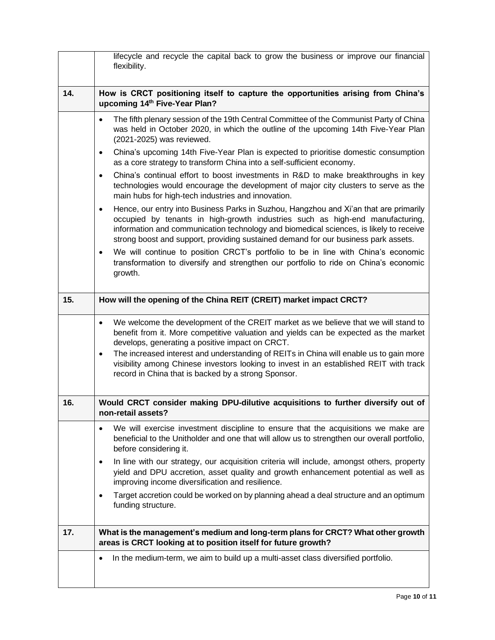|     | lifecycle and recycle the capital back to grow the business or improve our financial<br>flexibility.                                                                                                                                                                                                                                                                                                                                                                                       |
|-----|--------------------------------------------------------------------------------------------------------------------------------------------------------------------------------------------------------------------------------------------------------------------------------------------------------------------------------------------------------------------------------------------------------------------------------------------------------------------------------------------|
| 14. | How is CRCT positioning itself to capture the opportunities arising from China's<br>upcoming 14th Five-Year Plan?                                                                                                                                                                                                                                                                                                                                                                          |
|     | The fifth plenary session of the 19th Central Committee of the Communist Party of China<br>$\bullet$<br>was held in October 2020, in which the outline of the upcoming 14th Five-Year Plan<br>(2021-2025) was reviewed.                                                                                                                                                                                                                                                                    |
|     | China's upcoming 14th Five-Year Plan is expected to prioritise domestic consumption<br>$\bullet$<br>as a core strategy to transform China into a self-sufficient economy.                                                                                                                                                                                                                                                                                                                  |
|     | China's continual effort to boost investments in R&D to make breakthroughs in key<br>$\bullet$<br>technologies would encourage the development of major city clusters to serve as the<br>main hubs for high-tech industries and innovation.                                                                                                                                                                                                                                                |
|     | Hence, our entry into Business Parks in Suzhou, Hangzhou and Xi'an that are primarily<br>$\bullet$<br>occupied by tenants in high-growth industries such as high-end manufacturing,<br>information and communication technology and biomedical sciences, is likely to receive<br>strong boost and support, providing sustained demand for our business park assets.                                                                                                                        |
|     | We will continue to position CRCT's portfolio to be in line with China's economic<br>$\bullet$<br>transformation to diversify and strengthen our portfolio to ride on China's economic<br>growth.                                                                                                                                                                                                                                                                                          |
| 15. | How will the opening of the China REIT (CREIT) market impact CRCT?                                                                                                                                                                                                                                                                                                                                                                                                                         |
|     | We welcome the development of the CREIT market as we believe that we will stand to<br>٠<br>benefit from it. More competitive valuation and yields can be expected as the market<br>develops, generating a positive impact on CRCT.<br>The increased interest and understanding of REITs in China will enable us to gain more<br>$\bullet$<br>visibility among Chinese investors looking to invest in an established REIT with track<br>record in China that is backed by a strong Sponsor. |
| 16. | Would CRCT consider making DPU-dilutive acquisitions to further diversify out of<br>non-retail assets?                                                                                                                                                                                                                                                                                                                                                                                     |
|     | We will exercise investment discipline to ensure that the acquisitions we make are<br>$\bullet$<br>beneficial to the Unitholder and one that will allow us to strengthen our overall portfolio,<br>before considering it.                                                                                                                                                                                                                                                                  |
|     | In line with our strategy, our acquisition criteria will include, amongst others, property<br>$\bullet$<br>yield and DPU accretion, asset quality and growth enhancement potential as well as<br>improving income diversification and resilience.                                                                                                                                                                                                                                          |
|     | Target accretion could be worked on by planning ahead a deal structure and an optimum<br>$\bullet$<br>funding structure.                                                                                                                                                                                                                                                                                                                                                                   |
| 17. | What is the management's medium and long-term plans for CRCT? What other growth<br>areas is CRCT looking at to position itself for future growth?                                                                                                                                                                                                                                                                                                                                          |
|     | In the medium-term, we aim to build up a multi-asset class diversified portfolio.<br>٠                                                                                                                                                                                                                                                                                                                                                                                                     |